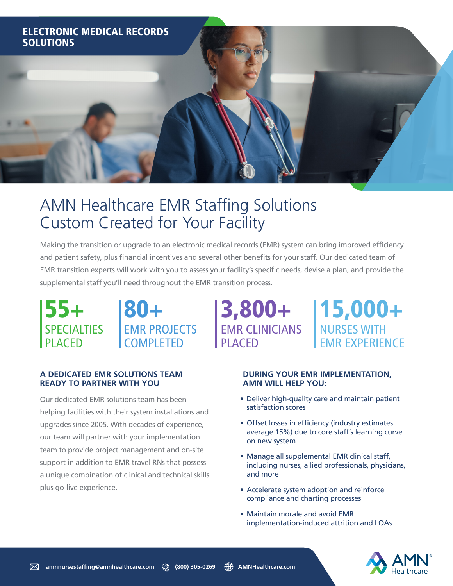

# AMN Healthcare EMR Staffing Solutions Custom Created for Your Facility

Making the transition or upgrade to an electronic medical records (EMR) system can bring improved efficiency and patient safety, plus financial incentives and several other benefits for your staff. Our dedicated team of EMR transition experts will work with you to assess your facility's specific needs, devise a plan, and provide the supplemental staff you'll need throughout the EMR transition process.

3,800+

PLACED

EMR CLINICIANS



## **A DEDICATED EMR SOLUTIONS TEAM READY TO PARTNER WITH YOU**

Our dedicated EMR solutions team has been helping facilities with their system installations and upgrades since 2005. With decades of experience, our team will partner with your implementation team to provide project management and on-site support in addition to EMR travel RNs that possess a unique combination of clinical and technical skills plus go-live experience.

#### **DURING YOUR EMR IMPLEMENTATION, AMN WILL HELP YOU:**

15,000+

EMR EXPERIENCE

NURSES WITH

- Deliver high-quality care and maintain patient satisfaction scores
- Offset losses in efficiency (industry estimates average 15%) due to core staff's learning curve on new system
- Manage all supplemental EMR clinical staff, including nurses, allied professionals, physicians, and more
- Accelerate system adoption and reinforce compliance and charting processes
- Maintain morale and avoid EMR implementation-induced attrition and LOAs